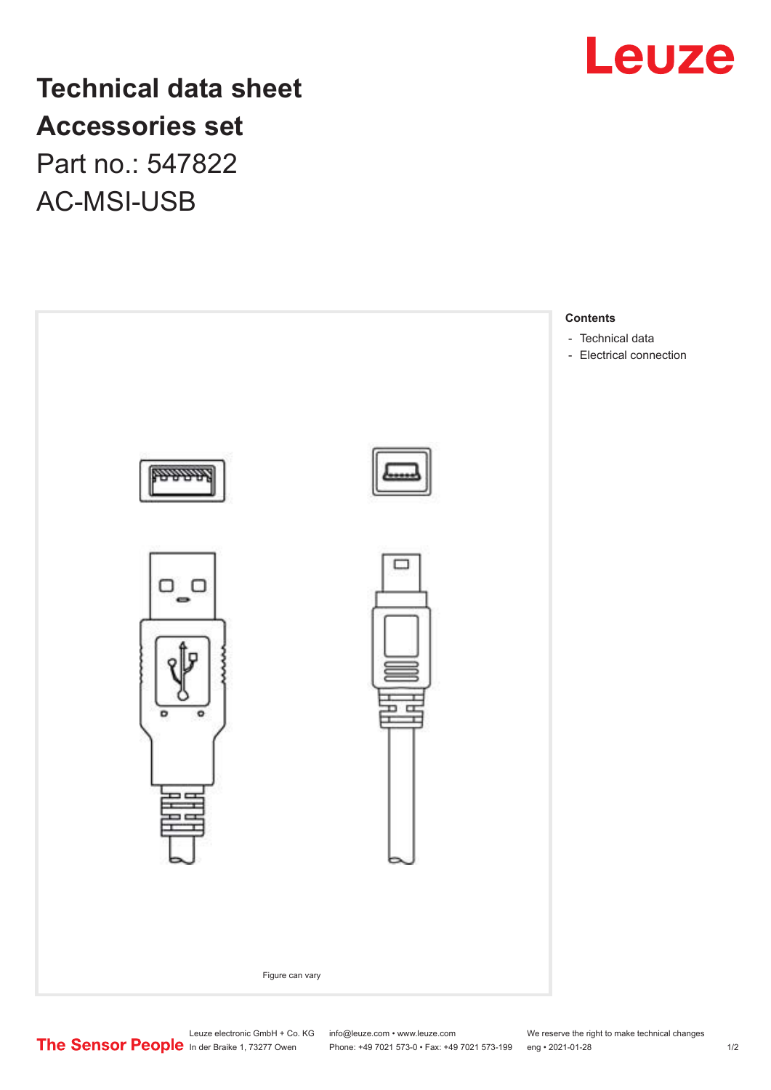

## **Technical data sheet Accessories set** Part no.: 547822

AC-MSI-USB